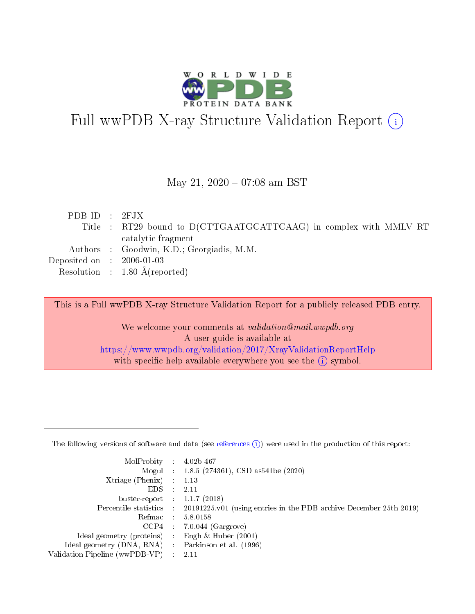

# Full wwPDB X-ray Structure Validation Report (i)

### May 21,  $2020 - 07:08$  am BST

| PDBID : 2FJX                         |                                                                   |
|--------------------------------------|-------------------------------------------------------------------|
|                                      | Title : RT29 bound to D(CTTGAATGCATTCAAG) in complex with MMLV RT |
|                                      | catalytic fragment                                                |
|                                      | Authors : Goodwin, K.D.; Georgiadis, M.M.                         |
| Deposited on $\therefore$ 2006-01-03 |                                                                   |
|                                      | Resolution : $1.80 \text{ Å}$ (reported)                          |

This is a Full wwPDB X-ray Structure Validation Report for a publicly released PDB entry.

We welcome your comments at validation@mail.wwpdb.org A user guide is available at <https://www.wwpdb.org/validation/2017/XrayValidationReportHelp> with specific help available everywhere you see the  $(i)$  symbol.

The following versions of software and data (see [references](https://www.wwpdb.org/validation/2017/XrayValidationReportHelp#references)  $(1)$ ) were used in the production of this report:

| MolProbity                     | $\mathcal{L}_{\rm{max}}$ | $4.02b - 467$                                                                |
|--------------------------------|--------------------------|------------------------------------------------------------------------------|
|                                |                          | Mogul : $1.8.5$ (274361), CSD as 541be (2020)                                |
| $X$ triage (Phenix) :          |                          | 1.13                                                                         |
| EDS.                           |                          | 2.11                                                                         |
| buster-report : $1.1.7$ (2018) |                          |                                                                              |
| Percentile statistics :        |                          | $20191225 \text{ v}01$ (using entries in the PDB archive December 25th 2019) |
| Refmac                         |                          | 5.8.0158                                                                     |
| $CCP4$ :                       |                          | $7.0.044$ (Gargrove)                                                         |
| Ideal geometry (proteins) :    |                          | Engh $\&$ Huber (2001)                                                       |
| Ideal geometry (DNA, RNA) :    |                          | Parkinson et al. (1996)                                                      |
| Validation Pipeline (wwPDB-VP) | $\mathcal{L}$            | -2.11                                                                        |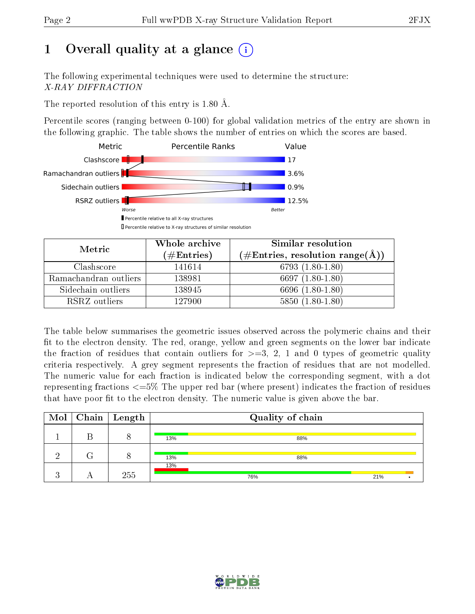# 1 [O](https://www.wwpdb.org/validation/2017/XrayValidationReportHelp#overall_quality)verall quality at a glance  $(i)$

The following experimental techniques were used to determine the structure: X-RAY DIFFRACTION

The reported resolution of this entry is 1.80 Å.

Percentile scores (ranging between 0-100) for global validation metrics of the entry are shown in the following graphic. The table shows the number of entries on which the scores are based.



| Metric                | Whole archive<br>(# $\rm{Entries}$ ) | Similar resolution<br>$(\#\text{Entries}, \text{resolution range}(\text{\AA}))$ |
|-----------------------|--------------------------------------|---------------------------------------------------------------------------------|
| Clashscore            | 141614                               | 6793 $(1.80-1.80)$                                                              |
| Ramachandran outliers | 138981                               | $6697(1.80-1.80)$                                                               |
| Sidechain outliers    | 138945                               | 6696 (1.80-1.80)                                                                |
| RSRZ outliers         | 127900                               | $5850(1.80-1.80)$                                                               |

The table below summarises the geometric issues observed across the polymeric chains and their fit to the electron density. The red, orange, yellow and green segments on the lower bar indicate the fraction of residues that contain outliers for  $\geq=3$ , 2, 1 and 0 types of geometric quality criteria respectively. A grey segment represents the fraction of residues that are not modelled. The numeric value for each fraction is indicated below the corresponding segment, with a dot representing fractions  $\epsilon=5\%$  The upper red bar (where present) indicates the fraction of residues that have poor fit to the electron density. The numeric value is given above the bar.

|  | $\boxed{\text{Mol}}$ Chain   Length | Quality of chain |     |  |
|--|-------------------------------------|------------------|-----|--|
|  |                                     | 13%<br>88%       |     |  |
|  |                                     | 13%<br>88%       |     |  |
|  | 255                                 | 13%<br>76%       | 21% |  |

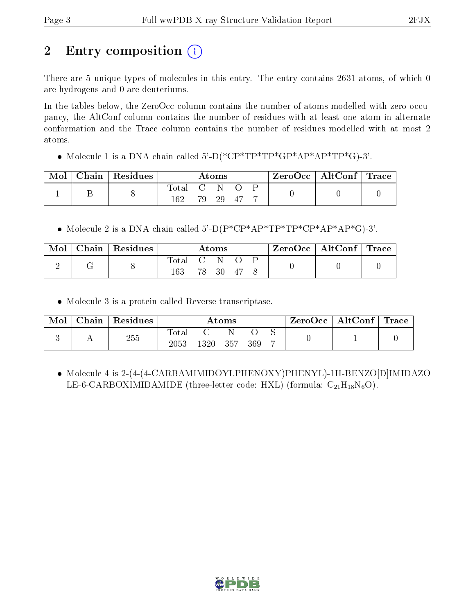# 2 Entry composition  $\binom{1}{1}$

There are 5 unique types of molecules in this entry. The entry contains 2631 atoms, of which 0 are hydrogens and 0 are deuteriums.

In the tables below, the ZeroOcc column contains the number of atoms modelled with zero occupancy, the AltConf column contains the number of residues with at least one atom in alternate conformation and the Trace column contains the number of residues modelled with at most 2 atoms.

Molecule 1 is a DNA chain called 5'-D(\*CP\*TP\*TP\*GP\*AP\*AP\*TP\*G)-3'.

| Mol | $\mid$ Chain $\mid$ Residues $\mid$ |              |       | $\rm{Atoms}$ |  | $\text{ZeroOcc} \mid \text{AltConf} \mid \text{Trace}$ |  |
|-----|-------------------------------------|--------------|-------|--------------|--|--------------------------------------------------------|--|
|     |                                     | Total<br>162 | $C-N$ | 79 29 47     |  |                                                        |  |

• Molecule 2 is a DNA chain called  $5^{\prime}$ -D(P\*CP\*AP\*TP\*TP\*CP\*AP\*AP\*G)-3'.

| Mol | $\mid$ Chain $\mid$ Residues |              |                      | <b>Atoms</b> |      | $\text{ZeroOcc} \mid \text{AltConf} \mid \text{Trace}$ |  |
|-----|------------------------------|--------------|----------------------|--------------|------|--------------------------------------------------------|--|
| ∠   |                              | Total<br>163 | $\sim$ $\sim$ $\sim$ | -N-<br>78 30 | - 47 |                                                        |  |

Molecule 3 is a protein called Reverse transcriptase.

| Mol | $\Box$ Chain | $\perp$ Residues | Atoms                      |        |       |     | $ZeroOcc \mid$ | $\mid$ AltConf $\mid$ Trace $\mid$ |  |  |
|-----|--------------|------------------|----------------------------|--------|-------|-----|----------------|------------------------------------|--|--|
|     |              | $255\,$          | $_{\rm Total}$<br>$2053\,$ | 1320 - | - 357 | 369 | −              |                                    |  |  |

 Molecule 4 is 2-(4-(4-CARBAMIMIDOYLPHENOXY)PHENYL)-1H-BENZO[D]IMIDAZO LE-6-CARBOXIMIDAMIDE (three-letter code: HXL) (formula:  $C_{21}H_{18}N_6O$ ).

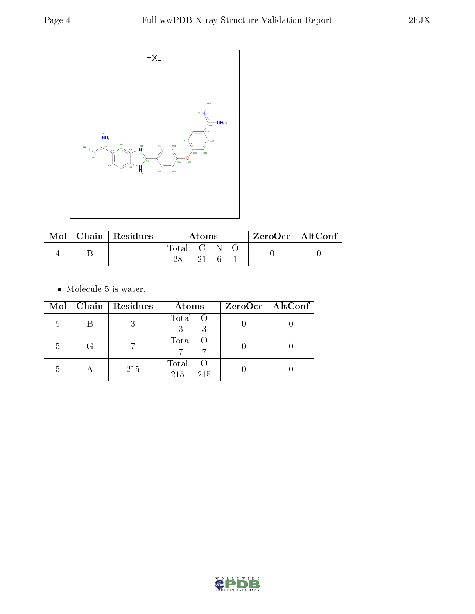

|  | $\text{Mol}$   Chain   Residues | Atoms     |    |  |  | $ZeroOcc \mid AltConf \mid$ |
|--|---------------------------------|-----------|----|--|--|-----------------------------|
|  |                                 | Total C N |    |  |  |                             |
|  |                                 |           | 21 |  |  |                             |

• Molecule 5 is water.

|    |   | Mol   Chain   Residues | Atoms                        | $ZeroOcc \mid AltConf \mid$ |
|----|---|------------------------|------------------------------|-----------------------------|
| 5  | В |                        | Total O                      |                             |
| .b | G |                        | Total O                      |                             |
| b  | А | 215                    | Total<br>- ( )<br>215<br>215 |                             |

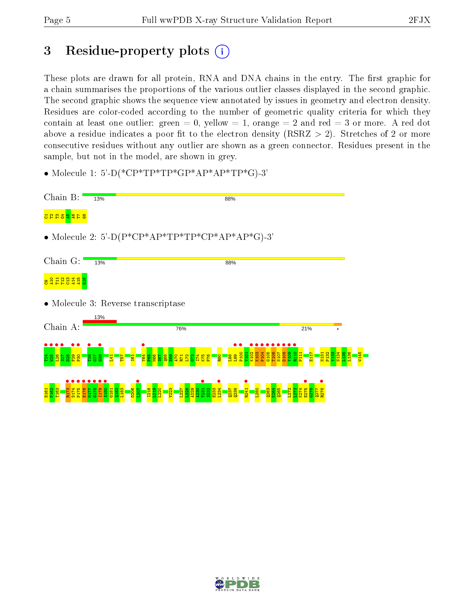# 3 Residue-property plots  $(i)$

These plots are drawn for all protein, RNA and DNA chains in the entry. The first graphic for a chain summarises the proportions of the various outlier classes displayed in the second graphic. The second graphic shows the sequence view annotated by issues in geometry and electron density. Residues are color-coded according to the number of geometric quality criteria for which they contain at least one outlier: green  $= 0$ , yellow  $= 1$ , orange  $= 2$  and red  $= 3$  or more. A red dot above a residue indicates a poor fit to the electron density (RSRZ  $> 2$ ). Stretches of 2 or more consecutive residues without any outlier are shown as a green connector. Residues present in the sample, but not in the model, are shown in grey.

• Molecule 1: 5'-D(\*CP\*TP\*TP\*GP\*AP\*AP\*TP\*G)-3'



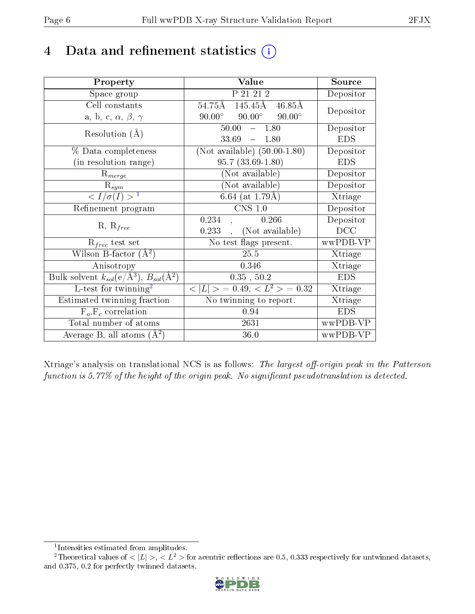# 4 Data and refinement statistics  $(i)$

| Property                                                   | Value                                                  | Source     |
|------------------------------------------------------------|--------------------------------------------------------|------------|
| Space group                                                | P 21 21 2                                              | Depositor  |
| Cell constants                                             | $54.75\text{\AA}$ $145.45\text{\AA}$ $46.85\text{\AA}$ | Depositor  |
| a, b, c, $\alpha$ , $\beta$ , $\gamma$                     | $90.00^{\circ}$ $90.00^{\circ}$<br>$90.00^{\circ}$     |            |
| Resolution $(A)$                                           | 50.00<br>1.80<br>$\frac{1}{2}$                         | Depositor  |
|                                                            | 33.69<br>$-1.80$                                       | <b>EDS</b> |
| $\%$ Data completeness                                     | (Not available) $(50.00-1.80)$                         | Depositor  |
| (in resolution range)                                      | $95.7(33.69-1.80)$                                     | <b>EDS</b> |
| $R_{merge}$                                                | (Not available)                                        | Depositor  |
| $\mathrm{R}_{sym}$                                         | $(Not\ avariable)$                                     | Depositor  |
| $\langle I/\sigma(I) \rangle^{-1}$                         | 6.64 (at $1.79\text{\AA})$                             | Xtriage    |
| Refinement program                                         | $\overline{\text{CNS} 1.0}$                            | Depositor  |
| $R, R_{free}$                                              | 0.234<br>0.266                                         | Depositor  |
|                                                            | (Not available)<br>0.233                               | DCC        |
| $R_{free}$ test set                                        | No test flags present.                                 | wwPDB-VP   |
| Wilson B-factor $(A^2)$                                    | 25.5                                                   | Xtriage    |
| Anisotropy                                                 | 0.346                                                  | Xtriage    |
| Bulk solvent $k_{sol}$ (e/Å <sup>3</sup> ), $B_{sol}(A^2)$ | $0.35$ , $50.2$                                        | <b>EDS</b> |
| L-test for $\mathrm{twinning}^2$                           | $< L >$ = 0.49, $< L^2 >$ = 0.32                       | Xtriage    |
| Estimated twinning fraction                                | No twinning to report.                                 | Xtriage    |
| $\overline{F_o}, \overline{F_c}$ correlation               | 0.94                                                   | <b>EDS</b> |
| Total number of atoms                                      | 2631                                                   | wwPDB-VP   |
| Average B, all atoms $(A^2)$                               | 36.0                                                   | wwPDB-VP   |

Xtriage's analysis on translational NCS is as follows: The largest off-origin peak in the Patterson function is  $5.77\%$  of the height of the origin peak. No significant pseudotranslation is detected.

<sup>&</sup>lt;sup>2</sup>Theoretical values of  $\langle |L| \rangle$ ,  $\langle L^2 \rangle$  for acentric reflections are 0.5, 0.333 respectively for untwinned datasets, and 0.375, 0.2 for perfectly twinned datasets.



<span id="page-5-1"></span><span id="page-5-0"></span><sup>1</sup> Intensities estimated from amplitudes.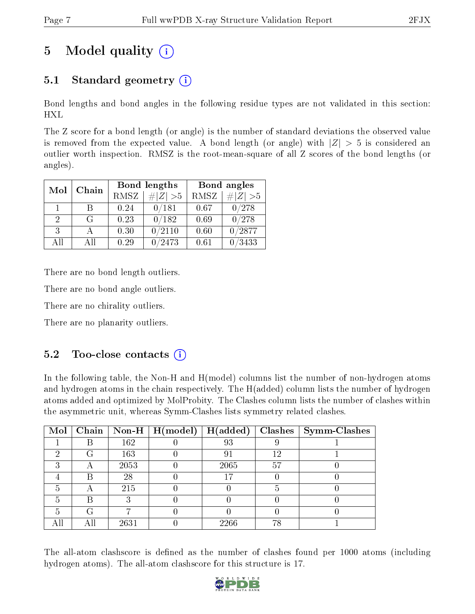# 5 Model quality  $(i)$

## 5.1 Standard geometry  $(i)$

Bond lengths and bond angles in the following residue types are not validated in this section: HXL

The Z score for a bond length (or angle) is the number of standard deviations the observed value is removed from the expected value. A bond length (or angle) with  $|Z| > 5$  is considered an outlier worth inspection. RMSZ is the root-mean-square of all Z scores of the bond lengths (or angles).

| Mol | Chain |             | Bond lengths | Bond angles |             |  |
|-----|-------|-------------|--------------|-------------|-------------|--|
|     |       | <b>RMSZ</b> | $\# Z  > 5$  | RMSZ        | # $ Z  > 5$ |  |
|     | B     | 0.24        | 0/181        | 0.67        | 0/278       |  |
| 2   | G     | 0.23        | 0/182        | 0.69        | 0/278       |  |
| 3   |       | 0.30        | 0/2110       | 0.60        | 0/2877      |  |
| AH  | АH    | 0.29        | /2473        | 0.61        | /3433       |  |

There are no bond length outliers.

There are no bond angle outliers.

There are no chirality outliers.

There are no planarity outliers.

#### $5.2$  Too-close contacts  $(i)$

In the following table, the Non-H and H(model) columns list the number of non-hydrogen atoms and hydrogen atoms in the chain respectively. The H(added) column lists the number of hydrogen atoms added and optimized by MolProbity. The Clashes column lists the number of clashes within the asymmetric unit, whereas Symm-Clashes lists symmetry related clashes.

| Mol |   |      | Chain   Non-H   $H (model)$ | H(added) |    | $Clashes$   Symm-Clashes |
|-----|---|------|-----------------------------|----------|----|--------------------------|
|     |   | 162  |                             | 93       |    |                          |
| 6)  | G | 163  |                             | 91       | 12 |                          |
| ົ   | Α | 2053 |                             | 2065     | 57 |                          |
|     | В | 28   |                             | 17       |    |                          |
|     |   | 215  |                             |          |    |                          |
|     | К |      |                             |          |    |                          |
| h   | G |      |                             |          |    |                          |
|     |   | 2631 |                             | 2266     | 78 |                          |

The all-atom clashscore is defined as the number of clashes found per 1000 atoms (including hydrogen atoms). The all-atom clashscore for this structure is 17.

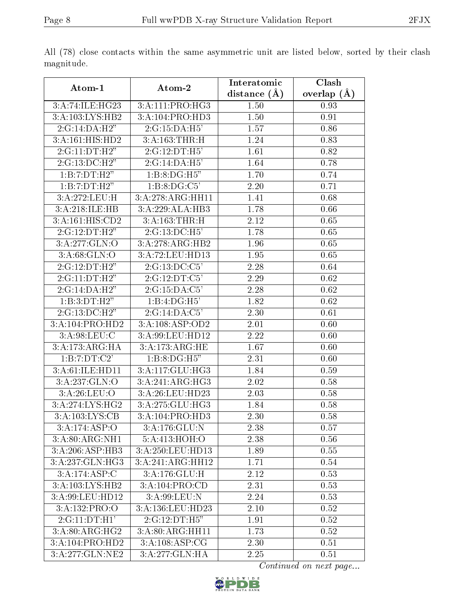|                              |                           | Interatomic    | Clash         |
|------------------------------|---------------------------|----------------|---------------|
| Atom-1                       | Atom-2                    | distance $(A)$ | overlap $(A)$ |
| 3:A:74:ILE:HG23              | 3:A:111:PRO:HG3           | 1.50           | 0.93          |
| 3:A:103:LYS:HB2              | 3:A:104:PRO:HD3           | 1.50           | 0.91          |
| 2:G:14:DA:H2"                | 2:G:15:DA:H5'             | 1.57           | 0.86          |
| 3:A:161:HIS:HD2              | 3:A:163:THR:H             | 1.24           | 0.83          |
| 2:G:11:DT:H2"                | 2:G:12:DT:H5'             | 1.61           | 0.82          |
| 2:G:13:DC:H2"                | 2:G:14:DA:H5'             | 1.64           | 0.78          |
| 1:B:7:DT:H2"                 | 1:B:8:DG:H5"              | 1.70           | 0.74          |
| 1:B:7:DT:H2"                 | 1:B:8:DG:C5'              | 2.20           | 0.71          |
| 3:A:272:LEU:H                | 3:A:278:ARG:HH11          | 1.41           | 0.68          |
| 3:A:218:ILE:HB               | 3:A:229:ALA:HB3           | 1.78           | 0.66          |
| 3:A:161:HIS:CD2              | 3:A:163:THR:H             | 2.12           | 0.65          |
| 2:G:12:DT:H2"                | 2:G:13:DC:H5'             | 1.78           | 0.65          |
| 3:A:277:GLN:O                | 3:A:278:ARG:HB2           | 1.96           | 0.65          |
| 3:A:68:GLN:O                 | 3:A:72:LEU:HD13           | 1.95           | 0.65          |
| 2:G:12:DT:H2"                | 2:G:13:DC:C5'             | 2.28           | 0.64          |
| 2:G:11:DT:H2"                | 2:G:12:DT:C5'             | 2.29           | 0.62          |
| 2:G:14:DA:H2"                | 2:G:15:DA:C5'             | 2.28           | 0.62          |
| 1:B:3:DT:H2"                 | $1:B:4:DG:\overline{H5'}$ | 1.82           | 0.62          |
| 2:G:13:DC:H2"                | 2:G:14:DA:C5'             | 2.30           | 0.61          |
| 3:A:104:PRO:HD2              | 3:A:108:ASP:OD2           | 2.01           | 0.60          |
| 3: A:98: LEU: C              | 3:A:99:LEU:HD12           | 2.22           | 0.60          |
| 3:A:173:ARG:HA               | 3:A:173:ARG:HE            | 1.67           | 0.60          |
| 1:B:7:DT:C2'                 | 1:B:8:DG:H5"              | 2.31           | 0.60          |
| 3:A:61:ILE:HD11              | 3:A:117:GLU:HG3           | 1.84           | 0.59          |
| 3:A:237:GLN:O                | 3:A:241:ARG:HG3           | 2.02           | 0.58          |
| 3:A:26:LEU:O                 | 3:A:26:LEU:HD23           | 2.03           | 0.58          |
| $3:A:274:LY\overline{S:HG2}$ | 3:A:275:GLU:HG3           | 1.84           | 0.58          |
| $3:A:103:LYS:CB$             | 3:A:104:PRO:HD3           | 2.30           | 0.58          |
| 3:A:174:ASP:O                | 3:A:176:GLU:N             | 2.38           | 0.57          |
| 3:A:80:ARG:NH1               | 5:A:413:HOH:O             | 2.38           | 0.56          |
| 3:A:206:ASP:HB3              | 3:A:250:LEU:HD13          | 1.89           | 0.55          |
| 3:A:237:GLN:HG3              | 3:A:241:ARG:HH12          | 1.71           | 0.54          |
| 3:A:174:ASP:C                | 3:A:176:GLU:H             | 2.12           | 0.53          |
| 3:A:103:LYS:HB2              | 3:A:104:PRO:CD            | 2.31           | 0.53          |
| 3:A:99:LEU:HD12              | 3:A:99:LEU:N              | 2.24           | 0.53          |
| 3:A:132:PRO:O                | 3:A:136:LEU:HD23          | 2.10           | 0.52          |
| 2:G:11:DT:H1'                | 2:G:12:DT:HS"             | 1.91           | 0.52          |
| 3:A:80:ARG:HG2               | 3:A:80:ARG:HH11           | 1.73           | 0.52          |
| 3:A:104:PRO:HD2              | 3:A:108:ASP:CG            | 2.30           | 0.51          |
| 3:A:277:GLN:NE2              | 3:A:277:GLN:HA            | 2.25           | 0.51          |

All (78) close contacts within the same asymmetric unit are listed below, sorted by their clash magnitude.

Continued on next page...

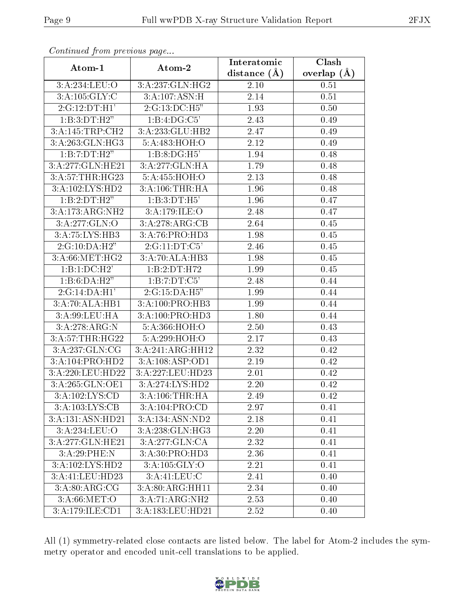| Communa from previous page          |                  | Interatomic       | $\overline{\text{Clash}}$ |
|-------------------------------------|------------------|-------------------|---------------------------|
| Atom-1                              | Atom-2           | distance $(\AA)$  | overlap $(A)$             |
| 3:A:234:LEU:O                       | 3:A:237:GLN:HG2  | 2.10              | 0.51                      |
| 3:A:105:GLY:C                       | 3:A:107:ASN:H    | 2.14              | 0.51                      |
| 2:G:12:DT:H1'                       | 2:G:13:DC:H5"    | 1.93              | 0.50                      |
| 1:B:3:DT:H2"                        | 1:B:4:DG:C5      | 2.43              | 0.49                      |
| 3:A:145:TRP:CH2                     | 3:A:233:GLU:HB2  | 2.47              | 0.49                      |
| 3:A:263:GLN:HG3                     | 5:A:483:HOH:O    | 2.12              | 0.49                      |
| 1:B:7:DT:H2"                        | 1:B:8:DG:H5'     | 1.94              | 0.48                      |
| 3:A:277:GLN:HE21                    | 3:A:277:GLN:HA   | 1.79              | 0.48                      |
| 3:A:57:THR:HG23                     | 5:A:455:HOH:O    | 2.13              | 0.48                      |
| $3:A:102:\overline{\text{LYS:HD2}}$ | 3:A:106:THR:HA   | 1.96              | 0.48                      |
| 1:B:2:DT:H2"                        | 1:B:3:DT:H5'     | 1.96              | 0.47                      |
| 3:A:173:ARG:NH2                     | 3:A:179:ILE:O    | 2.48              | 0.47                      |
| 3:A:277:GLN:O                       | 3:A:278:ARG:CB   | 2.64              | 0.45                      |
| 3:A:75:LYS:HB3                      | 3:A:76:PRO:HD3   | 1.98              | 0.45                      |
| 2:G:10:DA:H2"                       | 2:G:11:DT:C5'    | 2.46              | 0.45                      |
| 3: A:66:MET:HG2                     | 3:A:70:ALA:HB3   | 1.98              | 0.45                      |
| 1:B:1:DC:H2'                        | 1:B:2:DT:H72     | 1.99              | 0.45                      |
| 1:B:6:DA:H2"                        | 1:B:7:DT:C5'     | 2.48              | 0.44                      |
| 2:G:14:DA:H1'                       | 2:G:15:DA:H5"    | 1.99              | 0.44                      |
| 3:A:70:ALA:HB1                      | 3:A:100:PRO:HB3  | 1.99              | 0.44                      |
| 3:A:99:LEU:HA                       | 3:A:100:PRO:HD3  | 1.80              | 0.44                      |
| 3:A:278:ARG:N                       | 5:A:366:HOH:O    | 2.50              | 0.43                      |
| 3: A:57:THR:HG22                    | 5:A:299:HOH:O    | 2.17              | 0.43                      |
| 3:A:237:GLN:CG                      | 3:A:241:ARG:HH12 | 2.32              | 0.42                      |
| 3:A:104:PRO:HD2                     | 3:A:108:ASP:OD1  | 2.19              | 0.42                      |
| 3:A:220:LEU:HD22                    | 3:A:227:LEU:HD23 | 2.01              | 0.42                      |
| 3:A:265:GLN:OE1                     | 3:A:274:LYS:HD2  | 2.20              | 0.42                      |
| 3: A: 102: LYS: CD                  | 3:A:106:THR:HA   | 2.49              | 0.42                      |
| 3:A:103:LYS:CB                      | 3:A:104:PRO:CD   | 2.97              | 0.41                      |
| 3:A:131:ASN:HD21                    | 3:A:134:ASN:ND2  | 2.18              | 0.41                      |
| 3:A:234:LEU:O                       | 3:A:238:GLN:HG3  | 2.20              | 0.41                      |
| 3:A:277:GLN:HE21                    | 3:A:277:GLN:CA   | 2.32              | 0.41                      |
| 3:A:29:PHE:N                        | 3:A:30:PRO:HD3   | 2.36              | 0.41                      |
| 3:A:102:LYS:HD2                     | 3:A:105:GLY:O    | 2.21              | 0.41                      |
| 3:A:41:LEU:HD23                     | 3:A:41:LEU:C     | 2.41              | 0.40                      |
| $3:\overline{A:80:ARG:CG}$          | 3:A:80:ARG:HH11  | 2.34              | 0.40                      |
| $3:$ A:66:MET:O                     | 3:A:71:ARG:NH2   | 2.53              | 0.40                      |
| 3:A:179:ILE:CD1                     | 3:A:183:LEU:HD21 | $2.5\overline{2}$ | 0.40                      |

Continued from previous page...

All (1) symmetry-related close contacts are listed below. The label for Atom-2 includes the symmetry operator and encoded unit-cell translations to be applied.

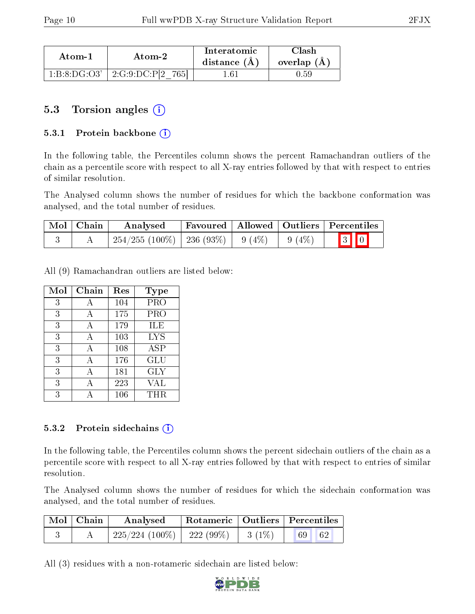| Atom-1       | Atom-2                | Interatomic<br>distance $(A)$ | Clash<br>overlap $(A)$ |
|--------------|-----------------------|-------------------------------|------------------------|
| 1:B:8:DG:O3' | 2:G:9:DC:P[2]<br>7651 | 1.61                          | 0.59                   |

### 5.3 Torsion angles (i)

#### 5.3.1 Protein backbone  $(i)$

In the following table, the Percentiles column shows the percent Ramachandran outliers of the chain as a percentile score with respect to all X-ray entries followed by that with respect to entries of similar resolution.

The Analysed column shows the number of residues for which the backbone conformation was analysed, and the total number of residues.

| $\mid$ Mol $\mid$ Chain | Analysed                                           |  | Favoured   Allowed   Outliers   Percentiles |
|-------------------------|----------------------------------------------------|--|---------------------------------------------|
|                         | $254/255$ (100\%)   236 (93\%)   9 (4\%)   9 (4\%) |  | $3$ 0                                       |

All (9) Ramachandran outliers are listed below:

| Mol | ${\bf Chain}$ | Res | Type       |
|-----|---------------|-----|------------|
| 3   | А             | 104 | <b>PRO</b> |
| 3   | А             | 175 | PRO        |
| 3   | А             | 179 | ILE        |
| 3   | А             | 103 | <b>LYS</b> |
| 3   | A             | 108 | <b>ASP</b> |
| 3   | А             | 176 | GLU        |
| 3   | А             | 181 | <b>GLY</b> |
| 3   |               | 223 | VAL        |
| 3   |               | 106 | $\rm THR$  |

#### 5.3.2 Protein sidechains  $(i)$

In the following table, the Percentiles column shows the percent sidechain outliers of the chain as a percentile score with respect to all X-ray entries followed by that with respect to entries of similar resolution.

The Analysed column shows the number of residues for which the sidechain conformation was analysed, and the total number of residues.

| Mol   Chain | Analysed                       | Rotameric   Outliers   Percentiles |          |          |
|-------------|--------------------------------|------------------------------------|----------|----------|
|             | $225/224$ (100\%)   222 (99\%) |                                    | $3(1\%)$ | 69<br>62 |

All (3) residues with a non-rotameric sidechain are listed below:

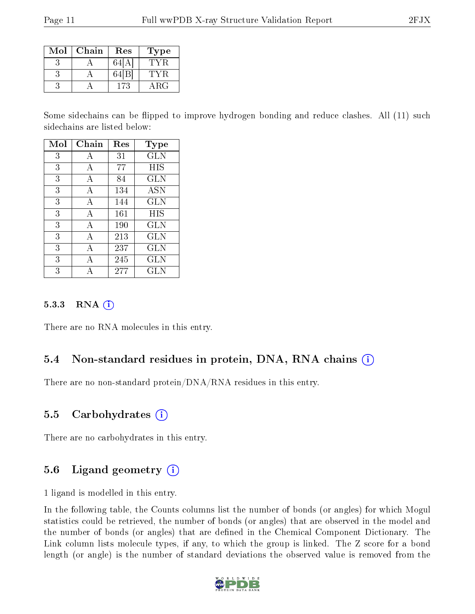| Mol | Chain | Res | Type |
|-----|-------|-----|------|
|     |       |     |      |
|     |       |     |      |
|     |       | 173 | ARG  |

Some sidechains can be flipped to improve hydrogen bonding and reduce clashes. All (11) such sidechains are listed below:

| Mol | Chain | Res | Type         |
|-----|-------|-----|--------------|
| 3   | А     | 31  | GLN          |
| 3   | А     | 77  | HIS          |
| 3   | А     | 84  | <b>GLN</b>   |
| 3   | А     | 134 | <b>ASN</b>   |
| 3   | А     | 144 | <b>GLN</b>   |
| 3   | А     | 161 | HIS          |
| 3   | А     | 190 | GLN          |
| 3   | A     | 213 | GLN          |
| 3   | A     | 237 | <b>GLN</b>   |
| 3   | А     | 245 | <b>GLN</b>   |
| 3   |       | 277 | $_{\rm GLN}$ |

#### 5.3.3 RNA  $(i)$

There are no RNA molecules in this entry.

#### 5.4 Non-standard residues in protein, DNA, RNA chains (i)

There are no non-standard protein/DNA/RNA residues in this entry.

#### 5.5 Carbohydrates (i)

There are no carbohydrates in this entry.

### 5.6 Ligand geometry  $(i)$

1 ligand is modelled in this entry.

In the following table, the Counts columns list the number of bonds (or angles) for which Mogul statistics could be retrieved, the number of bonds (or angles) that are observed in the model and the number of bonds (or angles) that are defined in the Chemical Component Dictionary. The Link column lists molecule types, if any, to which the group is linked. The Z score for a bond length (or angle) is the number of standard deviations the observed value is removed from the

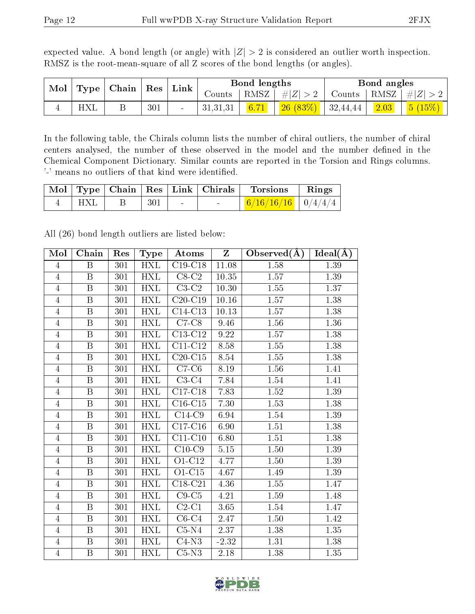expected value. A bond length (or angle) with  $|Z| > 2$  is considered an outlier worth inspection. RMSZ is the root-mean-square of all Z scores of the bond lengths (or angles).

| Mol<br>$\pm$ Chain $^+$<br>Type |                          |               |          | Bond lengths           |                                              |  | Bond angles          |        |
|---------------------------------|--------------------------|---------------|----------|------------------------|----------------------------------------------|--|----------------------|--------|
|                                 | $\vert$ Res $\vert$ Link | $\frac{1}{2}$ |          | RMSZ $\mid \#  Z  > 2$ | Counts   RMSZ $\vert$                        |  | $T^7   \#  Z  > 2$ . |        |
|                                 |                          | 301           | 31,31,31 | 6.71                   | $\left  \frac{26}{683\%} \right $   32,44,44 |  | 2.03                 | 5(15%) |

In the following table, the Chirals column lists the number of chiral outliers, the number of chiral centers analysed, the number of these observed in the model and the number defined in the Chemical Component Dictionary. Similar counts are reported in the Torsion and Rings columns. '-' means no outliers of that kind were identified.

|            |     |                                   | Mol Type Chain Res Link Chirals Torsions Rings |  |
|------------|-----|-----------------------------------|------------------------------------------------|--|
| <b>HXL</b> | 301 | <b>Contract Contract Contract</b> | $\frac{6}{16/16/16}$ $\frac{0}{4/4/4}$         |  |

All (26) bond length outliers are listed below:

| Mol            | Chain                   | Res | <b>Type</b>             | Atoms                       | Z        | Observed $(A)$    | Ideal(A) |
|----------------|-------------------------|-----|-------------------------|-----------------------------|----------|-------------------|----------|
| $\overline{4}$ | $\overline{\mathrm{B}}$ | 301 | HXL                     | $C19-C18$                   | 11.08    | 1.58              | 1.39     |
| $\overline{4}$ | B                       | 301 | HXL                     | $C8-C2$                     | 10.35    | 1.57              | 1.39     |
| 4              | B                       | 301 | $\overline{\text{HXL}}$ | $C3-C2$                     | 10.30    | 1.55              | 1.37     |
| $\overline{4}$ | $\overline{\mathbf{B}}$ | 301 | <b>HXL</b>              | $C20-C19$                   | 10.16    | 1.57              | 1.38     |
| $\overline{4}$ | B                       | 301 | <b>HXL</b>              | C14-C13                     | 10.13    | $1.57\,$          | 1.38     |
| $\overline{4}$ | $\overline{\mathrm{B}}$ | 301 | <b>HXL</b>              | $C7-C8$                     | 9.46     | 1.56              | 1.36     |
| 4              | B                       | 301 | <b>HXL</b>              | C13-C12                     | 9.22     | 1.57              | 1.38     |
| $\overline{4}$ | $\overline{\mathrm{B}}$ | 301 | <b>HXL</b>              | $\overline{\text{C11-C12}}$ | 8.58     | $\overline{1.55}$ | 1.38     |
| $\overline{4}$ | B                       | 301 | <b>HXL</b>              | $C20-C15$                   | 8.54     | 1.55              | 1.38     |
| $\overline{4}$ | B                       | 301 | <b>HXL</b>              | $C7-C6$                     | 8.19     | 1.56              | 1.41     |
| $\overline{4}$ | $\overline{\mathbf{B}}$ | 301 | <b>HXL</b>              | $C3-C4$                     | 7.84     | 1.54              | 1.41     |
| 4              | B                       | 301 | <b>HXL</b>              | $C17-C18$                   | 7.83     | 1.52              | 1.39     |
| $\overline{4}$ | B                       | 301 | <b>HXL</b>              | $C16-C15$                   | 7.30     | 1.53              | 1.38     |
| $\overline{4}$ | B                       | 301 | <b>HXL</b>              | $C14-C9$                    | 6.94     | 1.54              | 1.39     |
| $\overline{4}$ | B                       | 301 | <b>HXL</b>              | $C17-C16$                   | 6.90     | 1.51              | 1.38     |
| $\overline{4}$ | $\overline{B}$          | 301 | HXL                     | $C11-C10$                   | 6.80     | 1.51              | 1.38     |
| $\overline{4}$ | B                       | 301 | <b>HXL</b>              | $C10-C9$                    | $5.15\,$ | 1.50              | 1.39     |
| $\overline{4}$ | $\overline{\mathrm{B}}$ | 301 | <b>HXL</b>              | O1-C12                      | 4.77     | 1.50              | 1.39     |
| $\overline{4}$ | $\, {\bf B}$            | 301 | <b>HXL</b>              | $O1-C15$                    | 4.67     | 1.49              | 1.39     |
| $\overline{4}$ | $\overline{\mathrm{B}}$ | 301 | <b>HXL</b>              | $C18-C21$                   | 4.36     | 1.55              | 1.47     |
| $\overline{4}$ | B                       | 301 | <b>HXL</b>              | $C9-C5$                     | 4.21     | 1.59              | 1.48     |
| 4              | B                       | 301 | <b>HXL</b>              | $C2-C1$                     | 3.65     | 1.54              | 1.47     |
| 4              | $\overline{\mathrm{B}}$ | 301 | <b>HXL</b>              | $C6-C4$                     | 2.47     | 1.50              | 1.42     |
| $\overline{4}$ | B                       | 301 | <b>HXL</b>              | $C5-N4$                     | 2.37     | 1.38              | 1.35     |
| $\overline{4}$ | B                       | 301 | <b>HXL</b>              | $C4-N3$                     | $-2.32$  | 1.31              | 1.38     |
| $\overline{4}$ | $\, {\bf B}$            | 301 | <b>HXL</b>              | $C5-N3$                     | 2.18     | 1.38              | 1.35     |

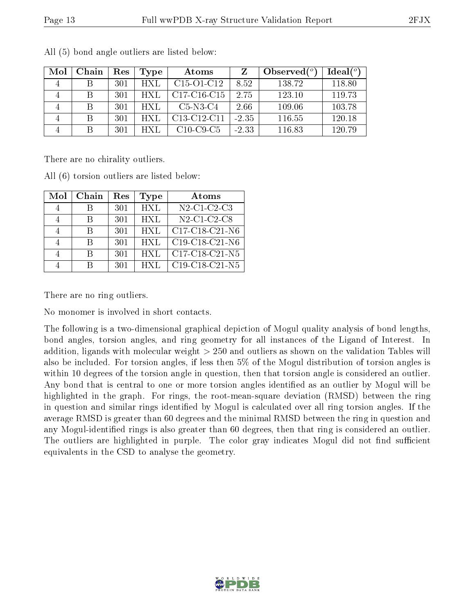| Mol | Chain | Res | Type  | Atoms                                            |         | Observed $(^\circ)$ | Ideal $(°)$ |
|-----|-------|-----|-------|--------------------------------------------------|---------|---------------------|-------------|
|     |       | 301 | HXL   | C <sub>15</sub> -O <sub>1</sub> -C <sub>12</sub> | 8.52    | 138.72              | 118.80      |
|     | B     | 301 | HXL   | C17-C16-C15                                      | 2.75    | 123.10              | 119.73      |
|     | B     | 301 | HXL   | $C5-N3-C4$                                       | 2.66    | 109.06              | 103.78      |
|     | B     | 301 | HXL.  | C13-C12-C11                                      | $-2.35$ | 116.55              | 120.18      |
|     | B     | 301 | H XT. | $C10-C9-C5$                                      | $-2.33$ | 116.83              | 120.79      |

All (5) bond angle outliers are listed below:

There are no chirality outliers.

All (6) torsion outliers are listed below:

| Mol | Chain | Res | <b>Type</b> | Atoms                                                          |
|-----|-------|-----|-------------|----------------------------------------------------------------|
|     |       | 301 | <b>HXL</b>  | N <sub>2</sub> -C <sub>1</sub> -C <sub>2</sub> -C <sub>3</sub> |
|     |       | 301 | <b>HXL</b>  | $N2$ -C1-C2-C8                                                 |
|     |       | 301 | HXL         | C17-C18-C21-N6                                                 |
|     |       | 301 | <b>HXL</b>  | $C19-C18-C21-N6$                                               |
|     |       | 301 | HXL         | C17-C18-C21-N5                                                 |
|     |       | 301 | <b>HXI</b>  | $C19-C18-C21-N5$                                               |

There are no ring outliers.

No monomer is involved in short contacts.

The following is a two-dimensional graphical depiction of Mogul quality analysis of bond lengths, bond angles, torsion angles, and ring geometry for all instances of the Ligand of Interest. In addition, ligands with molecular weight > 250 and outliers as shown on the validation Tables will also be included. For torsion angles, if less then 5% of the Mogul distribution of torsion angles is within 10 degrees of the torsion angle in question, then that torsion angle is considered an outlier. Any bond that is central to one or more torsion angles identified as an outlier by Mogul will be highlighted in the graph. For rings, the root-mean-square deviation (RMSD) between the ring in question and similar rings identified by Mogul is calculated over all ring torsion angles. If the average RMSD is greater than 60 degrees and the minimal RMSD between the ring in question and any Mogul-identified rings is also greater than 60 degrees, then that ring is considered an outlier. The outliers are highlighted in purple. The color gray indicates Mogul did not find sufficient equivalents in the CSD to analyse the geometry.

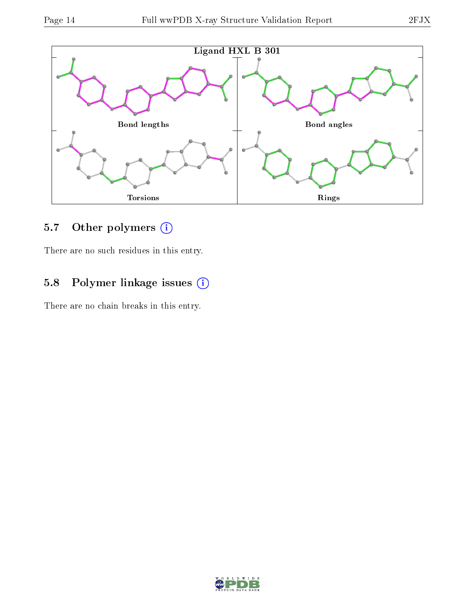

## 5.7 [O](https://www.wwpdb.org/validation/2017/XrayValidationReportHelp#nonstandard_residues_and_ligands)ther polymers (i)

There are no such residues in this entry.

### 5.8 Polymer linkage issues (i)

There are no chain breaks in this entry.

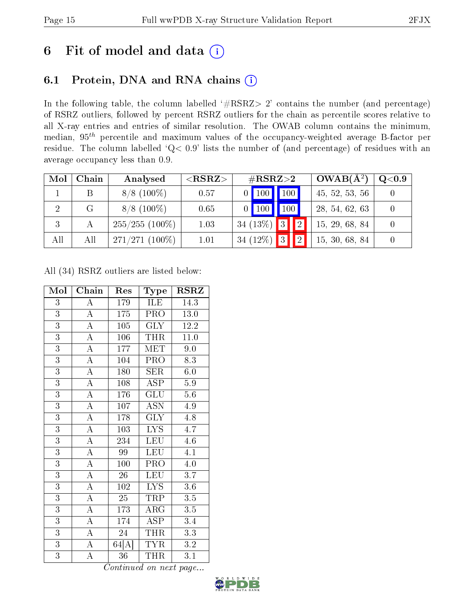# 6 Fit of model and data  $(i)$

## 6.1 Protein, DNA and RNA chains  $(i)$

In the following table, the column labelled  $#RSRZ> 2'$  contains the number (and percentage) of RSRZ outliers, followed by percent RSRZ outliers for the chain as percentile scores relative to all X-ray entries and entries of similar resolution. The OWAB column contains the minimum, median,  $95<sup>th</sup>$  percentile and maximum values of the occupancy-weighted average B-factor per residue. The column labelled ' $Q< 0.9$ ' lists the number of (and percentage) of residues with an average occupancy less than 0.9.

| Mol | Chain | Analysed         | ${ <\hspace{-1.5pt}{\mathrm{RSRZ}} \hspace{-1.5pt}>}$ | $\#\text{RSRZ}\text{>2}$                  | $OWAB(A^2)$<br>Q <sub>0.9</sub> |  |
|-----|-------|------------------|-------------------------------------------------------|-------------------------------------------|---------------------------------|--|
|     |       | $8/8$ (100\%)    | 0.57                                                  | 100<br>$\vert$ 100 $\vert$                | 45, 52, 53, 56                  |  |
| 2   | G     | $8/8$ (100\%)    | 0.65                                                  | 100<br>100                                | 28, 54, 62, 63                  |  |
| 3   |       | $255/255(100\%)$ | 1.03                                                  | 34 (13%) $3$<br>$\boxed{2}$               | 15, 29, 68, 84                  |  |
| All | All   | $271/271(100\%)$ | 1.01                                                  | 34 $(12\%)$<br>$ 2\rangle$<br>$ 3\rangle$ | 15, 30, 68, 84                  |  |

All (34) RSRZ outliers are listed below:

| Mol            | Chain              | Res              | Type                    | <b>RSRZ</b>       |  |
|----------------|--------------------|------------------|-------------------------|-------------------|--|
| $\overline{3}$ | $\boldsymbol{A}$   | 179              | ILE                     | 14.3              |  |
| $\overline{3}$ | $\overline{\rm A}$ | $\overline{1}75$ | PRO                     | 13.0              |  |
| $\overline{3}$ | $\overline{\rm A}$ | $105\,$          | <b>GLY</b>              | 12.2              |  |
| $\overline{3}$ | $\overline{A}$     | 106              | <b>THR</b>              | $\overline{11.0}$ |  |
| $\overline{3}$ | $\overline{A}$     | 177              | <b>MET</b>              | 9.0               |  |
| $\overline{3}$ | $\overline{\rm A}$ | 104              | PRO                     | $\overline{8.3}$  |  |
| $\overline{3}$ | $\overline{\rm A}$ | 180              | <b>SER</b>              | 6.0               |  |
| $\overline{3}$ | $\overline{\rm A}$ | 108              | <b>ASP</b>              | $5.9\,$           |  |
| $\overline{3}$ | $\overline{A}$     | 176              | GLU                     | 5.6               |  |
| $\overline{3}$ | $\overline{\rm A}$ | 107              | <b>ASN</b>              | 4.9               |  |
| $\overline{3}$ | $\overline{A}$     | 178              | $\overline{\text{GLY}}$ | 4.8               |  |
| $\overline{3}$ | $\overline{\rm A}$ | 103              | LYS.                    | 4.7               |  |
| $\overline{3}$ | $\overline{\rm A}$ | 234              | LEU                     | 4.6               |  |
| $\overline{3}$ | $\overline{\rm A}$ | 99               | <b>LEU</b>              | 4.1               |  |
| $\overline{3}$ | $\overline{\rm A}$ | 100              | PRO                     | 4.0               |  |
| $\overline{3}$ | $\overline{\rm A}$ | $\overline{26}$  | <b>LEU</b>              | $\overline{3.7}$  |  |
| $\overline{3}$ | $\overline{\rm A}$ | $\overline{102}$ | LYS.                    | 3.6               |  |
| $\overline{3}$ | $\overline{A}$     | $\overline{25}$  | <b>TRP</b>              | $\overline{3.5}$  |  |
| $\overline{3}$ | $\overline{\rm A}$ | 173              | $\rm{ARG}$              | 3.5               |  |
| $\overline{3}$ | $\overline{\rm A}$ | 174              | <b>ASP</b>              | $3.4\,$           |  |
| $\overline{3}$ | $\overline{A}$     | 24               | <b>THR</b>              | 3.3               |  |
| $\overline{3}$ | $\overline{\rm A}$ | 64[A]            | <b>TYR</b>              | $\!3.2\!$         |  |
| $\overline{3}$ | A                  | 36               | THR                     | 3.1               |  |

Continued on next page...

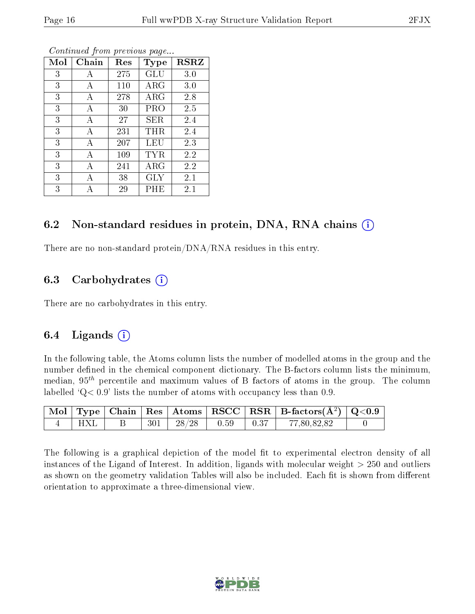| Mol | Chain | Res | <b>Type</b> | $_{\rm RSRZ}$ |
|-----|-------|-----|-------------|---------------|
| 3   | А     | 275 | GLU         | 3.0           |
| 3   | А     | 110 | $\rm{ARG}$  | 3.0           |
| 3   | А     | 278 | $\rm{ARG}$  | 2.8           |
| 3   | А     | 30  | PRO         | 2.5           |
| 3   | А     | 27  | SER.        | 2.4           |
| 3   | А     | 231 | THR         | 2.4           |
| 3   | A     | 207 | LEU         | 2.3           |
| 3   | А     | 109 | TYR         | 2.2           |
| 3   | А     | 241 | $\rm{ARG}$  | 2.2           |
| 3   | А     | 38  | <b>GLY</b>  | 2.1           |
| 3   | А     | 29  | PHE         | 2.1           |

Continued from previous page...

#### 6.2 Non-standard residues in protein, DNA, RNA chains (i)

There are no non-standard protein/DNA/RNA residues in this entry.

### 6.3 Carbohydrates (i)

There are no carbohydrates in this entry.

### 6.4 Ligands  $(i)$

In the following table, the Atoms column lists the number of modelled atoms in the group and the number defined in the chemical component dictionary. The B-factors column lists the minimum, median,  $95<sup>th</sup>$  percentile and maximum values of B factors of atoms in the group. The column labelled  $Q < 0.9$ ' lists the number of atoms with occupancy less than 0.9.

|     |  |                      |                                                      | $\mid$ Mol $\mid$ Type $\mid$ Chain $\mid$ Res $\mid$ Atoms $\mid$ RSCC $\mid$ RSR $\mid$ B-factors(A <sup>2</sup> ) $\mid$ Q<0.9 |  |
|-----|--|----------------------|------------------------------------------------------|-----------------------------------------------------------------------------------------------------------------------------------|--|
| HXL |  | $301$   28/28   0.59 | $\begin{array}{c} \begin{array}{c} \end{array}$ 0.37 | 77,80,82,82                                                                                                                       |  |

The following is a graphical depiction of the model fit to experimental electron density of all instances of the Ligand of Interest. In addition, ligands with molecular weight  $> 250$  and outliers as shown on the geometry validation Tables will also be included. Each fit is shown from different orientation to approximate a three-dimensional view.